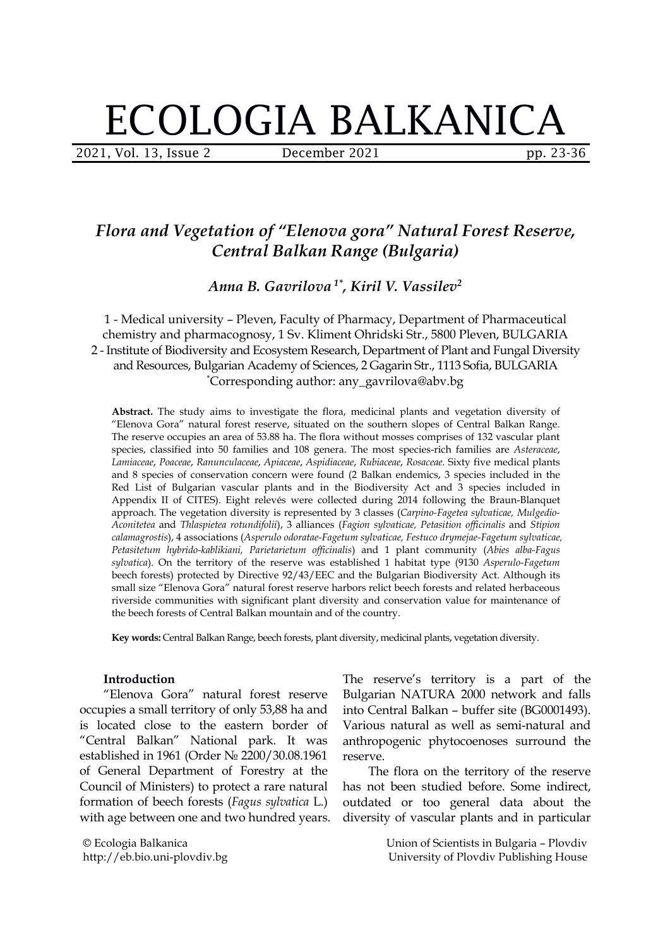# ECOLOGIA BALKANICA

2021, Vol. 13, Issue 2 December 2021 pp. 23-36

# *Flora and Vegetation of "Elenova gora" Natural Forest Reserve, Central Balkan Range (Bulgaria)*

*Anna B. Gavrilova 1\* , Kiril V. Vassilev 2*

1 - Medical university – Pleven, Faculty of Pharmacy, Department of Pharmaceutical chemistry and pharmacognosy, 1 Sv. Kliment Ohridski Str., 5800 Pleven, BULGARIA 2 - Institute of Biodiversity and Ecosystem Research, Department of Plant and Fungal Diversity and Resources, Bulgarian Academy of Sciences, 2 Gagarin Str., 1113 Sofia, BULGARIA \*Corresponding author: any\_gavrilova@abv.bg

**Abstract.** The study aims to investigate the flora, medicinal plants and vegetation diversity of "Elenova Gora" natural forest reserve, situated on the southern slopes of Central Balkan Range. The reserve occupies an area of 53.88 ha. The flora without mosses comprises of 132 vascular plant species, classified into 50 families and 108 genera. The most species-rich families are *Asteraceae*, *Lamiaceae*, *Poaceae*, *Ranunculaceae*, *Apiaceae*, *Aspidiaceae*, *Rubiaceae*, *Rosaceae*. Sixty five medical plants and 8 species of conservation concern were found (2 Balkan endemics, 3 species included in the Red List of Bulgarian vascular plants and in the Biodiversity Act and 3 species included in Appendix II of CITES). Eight relevés were collected during 2014 following the Braun-Blanquet approach. The vegetation diversity is represented by 3 classes (*Carpino-Fagetea sylvaticae, Mulgedio- Aconitetea* and *Thlaspietea rotundifolii*), 3 alliances (*Fagion sylvaticae, Petasition of icinalis* and *Stipion calamagrostis*), 4 associations (*Asperulo odoratae-Fagetum sylvaticae, Festuco drymejae-Fagetum sylvaticae, Petasitetum hybrido-kablikiani, Parietarietum of icinalis*) and 1 plant community (*Abiesalba-Fagus sylvatica*). On the territory of the reserve was established 1 habitat type (9130 *Asperulo-Fagetum* beech forests) protected by Directive 92/43/EEC and the Bulgarian Biodiversity Act. Although its small size "Elenova Gora" natural forest reserve harbors relict beech forests and related herbaceous riverside communities with significant plant diversity and conservation value formaintenance of the beech forests of Central Balkan mountain and of the country.

**Key words:** Central Balkan Range, beech forests, plant diversity, medicinal plants, vegetation diversity.

#### **Introduction**

"Elenova Gora" natural forest reserve occupies a small territory of only 53,88 ha and is located close to the eastern border of "Central Balkan" National park. It was established in 1961 (Order № 2200/30.08.1961 of General Department of Forestry at the Council of Ministers) to protect a rare natural formation of beech forests (*Fagus sylvatica* L.) with age between one and two hundred years.

© Ecologia Balkanica http://eb.bio.uni-plovdiv.bg The reserve's territory is a part of the Bulgarian NATURA 2000 network and falls into Central Balkan – buffer site (BG0001493). Various natural as well as semi-natural and anthropogenic phytocoenoses surround the reserve.

The flora on the territory of the reserve has not been studied before. Some indirect, outdated or too general data about the diversity of vascular plants and in particular

> Union of Scientists in Bulgaria – Plovdiv University of Plovdiv Publishing House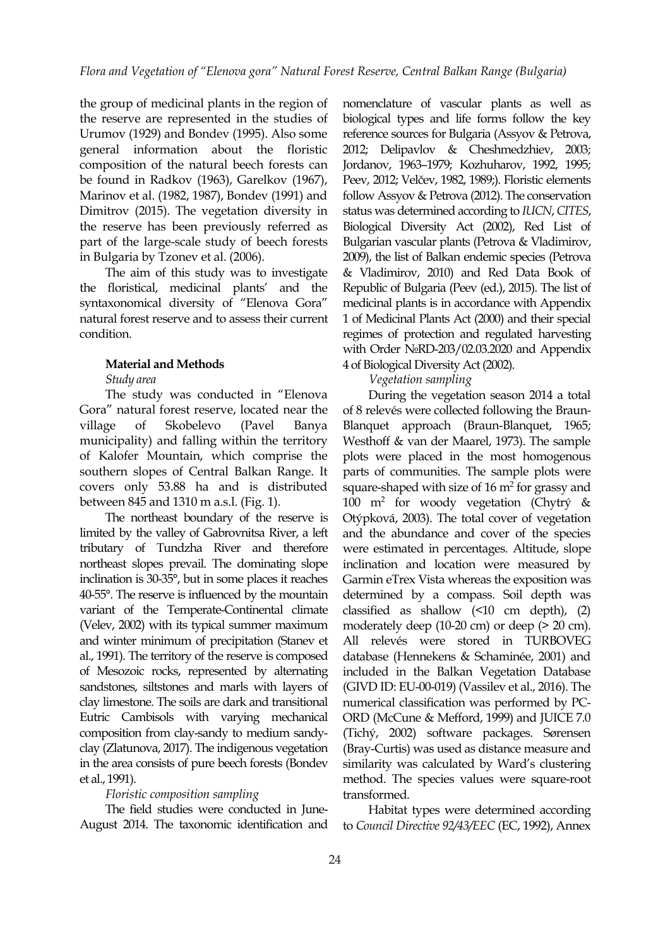the group of medicinal plants in the region of the reserve are represented in the studies of Urumov (1929) and Bondev (1995). Also some general information about the floristic composition of the natural beech forests can be found in Radkov (1963), Garelkov (1967), Marinov et al. (1982, 1987), Bondev (1991) and Dimitrov (2015). The vegetation diversity in the reserve has been previously referred as part of the large-scale study of beech forests in Bulgaria by Tzonev et al. (2006).

The aim of this study was to investigate the floristical, medicinal plants' and the syntaxonomical diversity of "Elenova Gora" natural forest reserve and to assess their current condition.

#### **Material and Methods**

#### *Study area*

The study was conducted in "Elenova Gora" natural forest reserve, located near the municipality) and falling within the territory of Kalofer Mountain, which comprise the southern slopes of Central Balkan Range. It covers only 53.88 ha and is distributed between 845 and 1310 m a.s.l. (Fig. 1).

The northeast boundary of the reserve is limited by the valley of Gabrovnitsa River, a left tributary of Tundzha River and therefore northeast slopes prevail. The dominating slope inclination is 30-35°, but in some places it reaches 40-55°. The reserve is influenced by the mountain variant of the Temperate-Continental climate (Velev, 2002) with its typical summer maximum and winter minimum of precipitation (Stanev et al., 1991). The territory of the reserve is composed of Mesozoic rocks, represented by alternating sandstones, siltstones and marls with layers of clay limestone. The soils are dark and transitional Eutric Cambisols with varying mechanical composition from clay-sandy to medium sandy clay (Zlatunova, 2017). The indigenous vegetation in the area consists of pure beech forests (Bondev et al., 1991).

#### *Floristic composition sampling*

The field studies were conducted in June- August 2014. The taxonomic identification and nomenclature of vascular plants as well as biological types and life forms follow the key reference sources for Bulgaria (Assyov & Petrova, 2012; Delipavlov & Cheshmedzhiev, 2003; Jordanov, 1963–1979; Kozhuharov, 1992, 1995; Peev, 2012; Velčev, 1982, 1989;). Floristic elements follow Assyov & Petrova (2012). The conservation status was determined according to *IUCN*, *CITES*, Biological Diversity Act (2002), Red List of Bulgarian vascular plants (Petrova & Vladimirov, 2009), the list of Balkan endemic species (Petrova & Vladimirov, 2010) and Red Data Book of Republic of Bulgaria (Peev (ed.), 2015). The list of medicinal plants is in accordance with Appendix 1 of Medicinal Plants Act (2000) and their special regimes of protection and regulated harvesting with Order №RD-203/02.03.2020 and Appendix 4 of Biological Diversity Act (2002).

#### *Vegetation sampling*

village of Skobelevo (Pavel Banya Blanquet approach (Braun-Blanquet, 1965; During the vegetation season 2014 a total of 8 relevés were collected following the Braun- Westhoff & van der Maarel, 1973). The sample plots were placed in the most homogenous parts of communities. The sample plots were square-shaped with size of  $16 \text{ m}^2$  for grassy and 100 m<sup>2</sup> for woody vegetation (Chytrý  $\&$ Otýpková, 2003). The total cover of vegetation and the abundance and cover of the species were estimated in percentages. Altitude, slope inclination and location were measured by Garmin eTrex Vista whereas the exposition was determined by a compass. Soil depth was classified as shallow (<10 cm depth), (2) moderately deep (10-20 cm) or deep (> 20 cm). All relevés were stored in TURBOVEG database (Hennekens & Schaminée, 2001) and included in the Balkan Vegetation Database (GIVD ID: EU-00-019) (Vassilev et al.,2016). The numerical classification was performed by PC- ORD (McCune & Mefford, 1999) and JUICE 7.0 (Tichý, 2002) software packages. Sørensen (Bray-Curtis) was used as distance measure and similarity was calculated by Ward's clustering method. The species values were square-root transformed.

> Habitat types were determined according to *Council Directive 92/43/EEC* (EC, 1992), Annex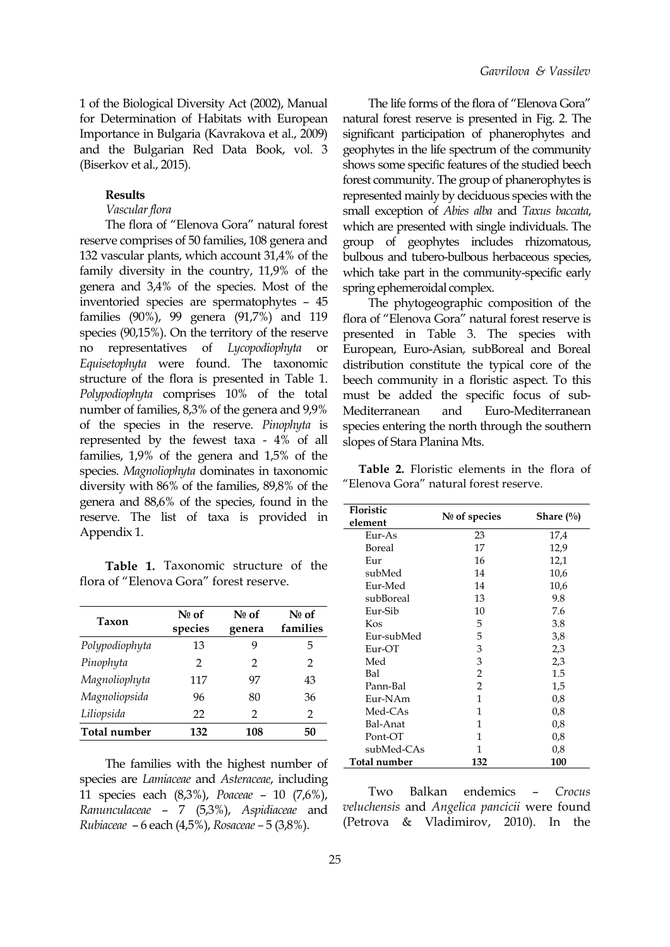1 of the Biological Diversity Act (2002), Manual for Determination of Habitats with European Importance in Bulgaria (Kavrakova et al.,2009) and the Bulgarian Red Data Book, vol. 3 (Biserkov et al., 2015).

#### **Results**

### Vascular flora

The flora of "Elenova Gora" natural forest reserve comprises of 50 families, 108 genera and 132 vascular plants, which account 31,4% of the family diversity in the country, 11,9% of the genera and 3,4% of the species. Most of the inventoried species are spermatophytes – 45 families (90%),99 genera (91,7%) and 119 species (90,15%). On the territory of the reserve no representatives of *Lycopodiophyta* or *Equisetophyta* were found. The taxonomic structure of the flora is presented in Table 1. *Polypodiophyta* comprises 10% of the total number of families, 8,3% of the genera and 9,9% Mediterranean and of the species in the reserve. *Pinophyta* is represented by the fewest taxa - 4% of all families, 1,9% of the genera and 1,5% of the species. *Magnoliophyta* dominates in taxonomic diversity with 86% of the families, 89,8% of the genera and 88,6% of the species, found in the reserve. The list of taxa is provided in Appendix 1.

**Table 1.** Taxonomic structure of the flora of "Elenova Gora" forest reserve.

| Taxon          | $N0$ of<br>species | $N_0$ of<br>genera | $N0$ of<br>families |
|----------------|--------------------|--------------------|---------------------|
| Polypodiophyta | 13                 | 9                  | 5                   |
| Pinophyta      | 2                  | 2                  | 2                   |
| Magnoliophyta  | 117                | 97                 | 43                  |
| Magnoliopsida  | 96                 | 80                 | 36                  |
| Liliopsida     | 22                 | 2                  | $\mathfrak{D}$      |
| Total number   | 132                | 108                | 50                  |

The families with the highest number of species are *Lamiaceae* and *Asteraceae*, including 11 species each (8,3%), *Poaceae* – 10 (7,6%), *Ranunculaceae* – 7 (5,3%), *Aspidiaceae* and *Rubiaceae* – 6 each (4,5%), *Rosaceae –* 5 (3,8%).

The life forms of the flora of "Elenova Gora" natural forest reserve is presented in Fig. 2. The significant participation of phanerophytes and geophytes in the life spectrum of the community shows some specific features of the studied beech forest community. The group of phanerophytes is represented mainly by deciduous species with the small exception of *Abies alba* and *Taxus baccata*, which are presented with single individuals. The group of geophytes includes rhizomatous, bulbous and tubero-bulbous herbaceous species, which take part in the community-specific early spring ephemeroidal complex.

The phytogeographic composition of the flora of "Elenova Gora" natural forest reserve is presented in Table 3. The species with European, Eurо-Аsian, subBoreal and Boreal distribution constitute the typical core of the beech community in a floristic aspect. To this must be added the specific focus of sub- Euro-Mediterranean species entering the north through the southern slopes of Stara Planina Mts.

**Table 2.** Floristic elements in the flora of "Elenova Gora" natural forest reserve.

| cies, iouna in uie<br>is provided in | Floristic<br>element | $N0$ of species | Share $(\%)$ |  |  |
|--------------------------------------|----------------------|-----------------|--------------|--|--|
|                                      | Eur-As               | 23              | 17,4         |  |  |
|                                      | Boreal               | 17              | 12,9         |  |  |
| structure of the<br>st reserve.      | Eur                  | 16              | 12,1         |  |  |
|                                      | subMed               | 14              | 10,6         |  |  |
|                                      | Eur-Med              | 14              | 10,6         |  |  |
|                                      | subBoreal            | 13              | 9.8          |  |  |
| Nº of<br>$N_2$ of                    | Eur-Sib              | 10              | 7.6          |  |  |
| families<br><b>renera</b>            | Kos                  | 5               | 3.8          |  |  |
|                                      | Eur-subMed           | 5               | 3,8          |  |  |
| 9<br>5                               | Eur-OT               | 3               | 2,3          |  |  |
| $\overline{2}$<br>2                  | Med                  | 3               | 2,3          |  |  |
| 97<br>43                             | Bal                  | 2               | 1.5          |  |  |
|                                      | Pann-Bal             | $\overline{2}$  | 1,5          |  |  |
| 80<br>36                             | Eur-NAm              | 1               | 0.8          |  |  |
| 2<br>2                               | Med-CAs              | 1               | 0,8          |  |  |
|                                      | Bal-Anat             | 1               | 0,8          |  |  |
| 108<br>50                            | Pont-OT              | 1               | 0,8          |  |  |
|                                      | subMed-CAs           | 1               | 0,8          |  |  |
| ighest number of                     | Total number         | 132             | 100          |  |  |

endemics – *Crocus veluchensis* and *Angelica pancicii* were found (Petrova  $&$  Vladimirov, 2010). In the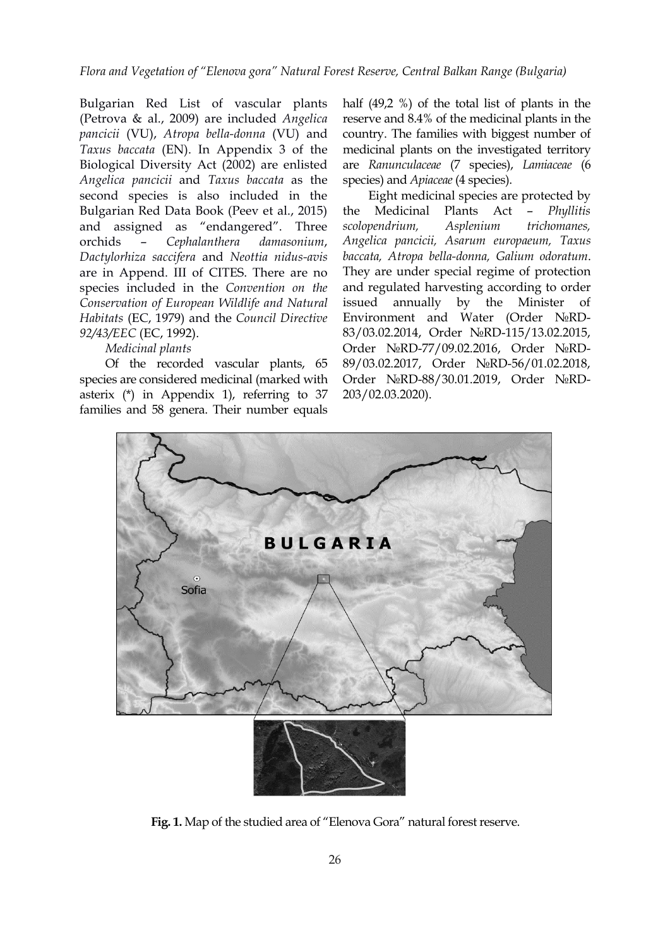Bulgarian Red List of vascular plants (Petrova & al., 2009) are included *Angelica pancicii* (VU), *Atropa bella-donna* (VU) and *Taxus baccata* (EN). In Appendix 3 of the Biological Diversity Act (2002) are enlisted *Angelica pancicii* and *Taxus baccata* as the second species is also included in the Bulgarian Red Data Book (Peev et al., 2015) the Medicinal and assigned as "endangered". Three orchids – *Cephalanthera damasonium*, *Dactylorhiza saccifera* and *Neottia nidus-avis* are in Append. III of CITES. There are no species included in the*Convention on the Conservation of European Wildlife and Natural Habitats* (EC, 1979) and the *Council Directive 92/43/EEC* (EC, 1992).

## *Medicinal plants*

Of the recorded vascular plants, 65 species are considered medicinal (marked with asterix (\*) in Appendix 1), referring to 37 families and 58 genera. Their number equals half (49,2 %) of the total list of plants in the reserve and 8.4% of the medicinal plants in the country. The families with biggest number of medicinal plants on the investigated territory are *Ranunculaceae* (7 species), *Lamiaceae* (6 species) and *Apiaceae* (4 species).

Eight medicinal species are protected by Plants Act – *Phyllitis scolopendrium, Asplenium trichomanes, Angelica pancicii, Asarum europaeum, Taxus baccata, Atropa bella-donna, Galium odoratum*. They are under special regime of protection and regulated harvesting according to order issued annually by the Minister of Environment and Water (Order №RD- 83/03.02.2014, Order №RD-115/13.02.2015, Order №RD-77/09.02.2016, Order №RD- 89/03.02.2017, Order №RD-56/01.02.2018, Order №RD-88/30.01.2019, Order №RD- 203/02.03.2020).



Fig. 1. Map of the studied area of "Elenova Gora" natural forest reserve.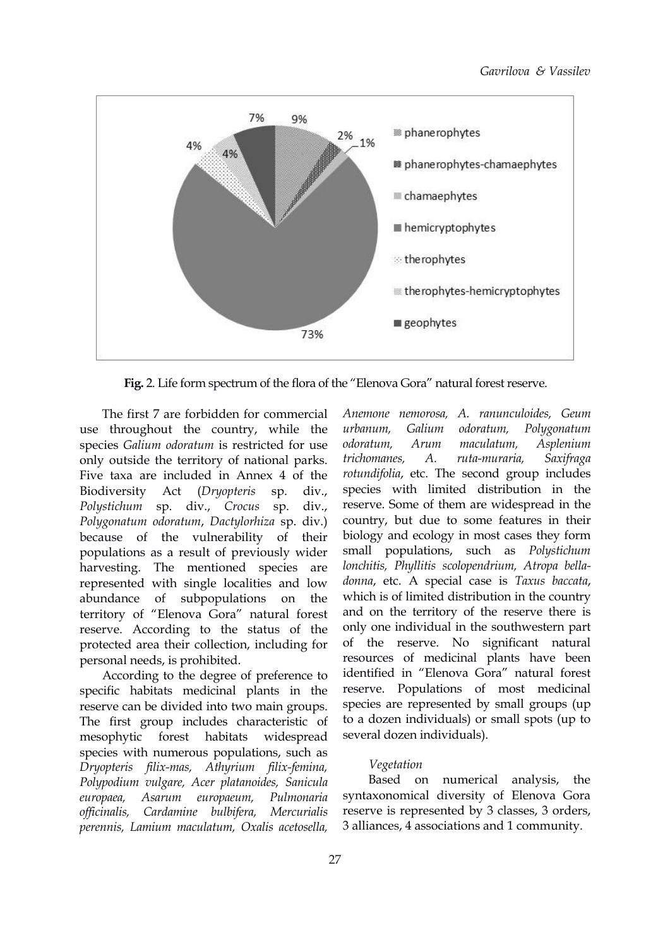

Fig. 2. Life form spectrum of the flora of the "Elenova Gora" natural forest reserve.

The first 7 are forbidden for commercial use throughout the country, while the *urbanum*, Galium species *Galium odoratum* is restricted for use only outside the territory of national parks. *trichomanes*, Five taxa are included in Annex 4 of the Biodiversity Act (*Dryopteris* sp. div., *Polystichum* sp. div., *Crocus* sp. div., *Polygonatum odoratum*, *Dactylorhiza* sp. div.) because of the vulnerability of their populations as a result of previously wider harvesting. The mentioned species are represented with single localities and low abundance of subpopulations on the territory of "Elenova Gora" natural forest reserve. According to the status of the protected area their collection, including for personal needs, is prohibited.

According to the degree of preference to specific habitats medicinal plants in the reserve can be divided into two main groups. The first group includes characteristic of mesophytic forest habitats widespread several dozen individuals). species with numerous populations, such as *Dryopteris filix-mas, Athyrium filix-femina, Polypodium vulgare, Acer platanoides, Sanicula europaea, Asarum europaeum, Pulmonaria of icinalis, Cardamine bulbifera, Mercurialis perennis, Lamium maculatum, Oxalis acetosella,*

*Anemone nemorosa, A. ranunculoides, Geum urbanum, Galium odoratum, Polygonatum odoratum, Arum maculatum, Asplenium trichomanes, A. ruta-muraria, Saxifraga rotundifolia*, etc. The second group includes species with limited distribution in the reserve. Some of them are widespread in the country, but due to some features in their biology and ecology in most cases they form small populations, such as *Polystichum lonchitis, Phyllitis scolopendrium, Atropa bella donna*, etc. A special case is *Taxus baccata*, which is of limited distribution in the country and on the territory of the reserve there is only one individual in the southwestern part of the reserve. No significant natural resources of medicinal plants have been identified in "Elenova Gora" natural forest reserve. Populations of most medicinal species are represented by small groups (up to a dozen individuals) or small spots (up to

#### *Vegetation*

Based on numerical analysis, the syntaxonomical diversity of Elenova Gora reserve is represented by 3 classes, 3 orders, 3 alliances, 4 associations and 1 community.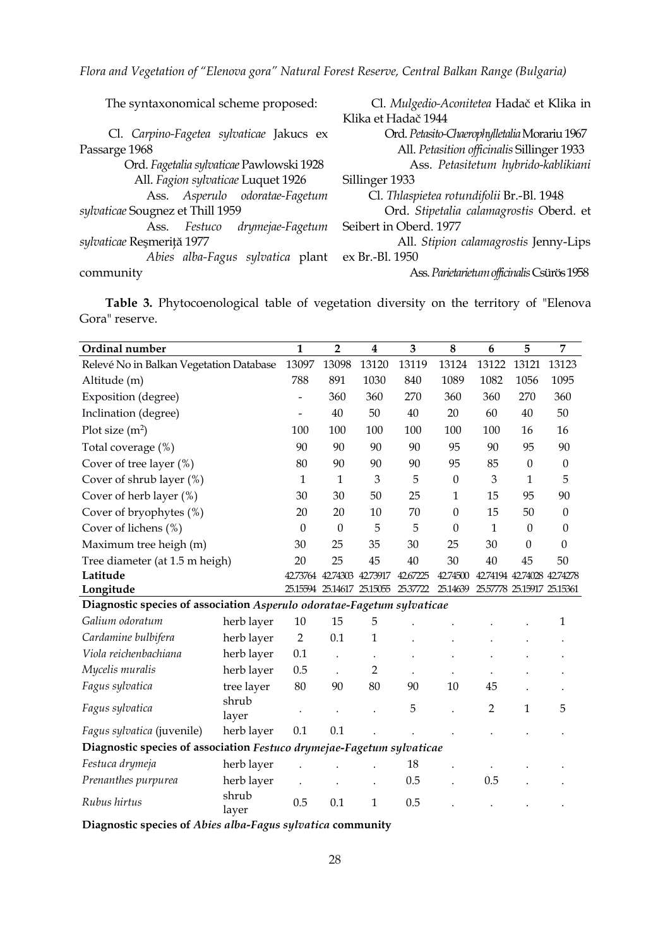*Flora and Vegetation of "Elenova gora" Natural Forest Reserve, Central Balkan Range (Bulgaria)*

| The syntaxonomical scheme proposed:              | Cl. Mulgedio-Aconitetea Hadač et Klika in    |
|--------------------------------------------------|----------------------------------------------|
|                                                  | Klika et Hadač 1944                          |
| Cl. Carpino-Fagetea sylvaticae Jakucs ex         | Ord. Petasito-Chaerophylletalia Morariu 1967 |
| Passarge 1968                                    | All. Petasition officinalis Sillinger 1933   |
| Ord. Fagetalia sylvaticae Pawlowski 1928         | Ass. Petasitetum hybrido-kablikiani          |
| All. Fagion sylvaticae Luquet 1926               | Sillinger 1933                               |
| Ass. Asperulo odoratae-Fagetum                   | Cl. Thlaspietea rotundifolii Br.-Bl. 1948    |
| sylvaticae Sougnez et Thill 1959                 | Ord. Stipetalia calamagrostis Oberd. et      |
| drymejae-Fagetum<br>Festuco<br>Ass.              | Seibert in Oberd. 1977                       |
| sylvaticae Reşmeriță 1977                        | All. Stipion calamagrostis Jenny-Lips        |
| Abies alba-Fagus sylvatica plant ex Br.-Bl. 1950 |                                              |
| community                                        | Ass. Parietarietum officinalis Csürös 1958   |
|                                                  |                                              |

**Table 3.** Phytocoenological table of vegetation diversity on the territory of "Elenova Gora" reserve.

| Ordinal number                                                         |                | $\mathbf{1}$   | $\overline{2}$       | $\boldsymbol{4}$ | 3                                   | 8                | 6              | 5        | 7                          |
|------------------------------------------------------------------------|----------------|----------------|----------------------|------------------|-------------------------------------|------------------|----------------|----------|----------------------------|
| Relevé No in Balkan Vegetation Database                                |                | 13097          | 13098                | 13120            | 13119                               | 13124            | 13122          | 13121    | 13123                      |
| Altitude (m)                                                           |                | 788            | 891                  | 1030             | 840                                 | 1089             | 1082           | 1056     | 1095                       |
| Exposition (degree)                                                    |                | $\sim$         | 360                  | 360              | 270                                 | 360              | 360            | 270      | 360                        |
| Inclination (degree)                                                   |                | $\overline{a}$ | 40                   | 50               | 40                                  | 20               | 60             | 40       | 50                         |
| Plot size $(m^2)$                                                      |                | 100            | 100                  | 100              | 100                                 | 100              | 100            | 16       | 16                         |
| Total coverage (%)                                                     |                | 90             | 90                   | 90               | 90                                  | 95               | 90             | 95       | 90                         |
| Cover of tree layer (%)                                                |                | 80             | 90                   | 90               | 90                                  | 95               | 85             | 0        | $\boldsymbol{0}$           |
| Cover of shrub layer (%)                                               |                | $\mathbf{1}$   | $\mathbf{1}$         | 3                | 5                                   | $\boldsymbol{0}$ | 3              | 1        | 5                          |
| Cover of herb layer (%)                                                |                | 30             | 30                   | 50               | 25                                  | $\mathbf{1}$     | 15             | 95       | 90                         |
| Cover of bryophytes (%)                                                |                | 20             | 20                   | 10               | 70                                  | $\theta$         | 15             | 50       | $\mathbf{0}$               |
| Cover of lichens (%)                                                   |                | $\theta$       | $\boldsymbol{0}$     | 5                | 5                                   | $\theta$         | $\mathbf{1}$   | $\theta$ | $\boldsymbol{0}$           |
| Maximum tree heigh (m)                                                 |                | 30             | 25                   | 35               | 30                                  | 25               | 30             | $\theta$ | $\boldsymbol{0}$           |
| Tree diameter (at 1.5 m heigh)                                         |                | 20             | 25                   | 45               | 40                                  | 30               | 40             | 45       | 50                         |
| Latitude                                                               |                | 42.73764       | 42.74303             | 4273917          | 42.67225                            | 42,74500         |                |          | 42.74194 42.74028 42.74278 |
| Longitude                                                              |                |                |                      |                  | 25.15594 25.14617 25.15055 25.37722 | 25.14639         |                |          | 25.57778 25.15917 25.15361 |
| Diagnostic species of association Asperulo odoratae-Fagetum sylvaticae |                |                |                      |                  |                                     |                  |                |          |                            |
| Galium odoratum                                                        | herb layer     | $10\,$         | 15                   | 5                |                                     |                  |                |          | 1                          |
| Cardamine bulbifera                                                    | herb layer     | $\overline{2}$ | 0.1                  | 1                |                                     |                  |                |          |                            |
| Viola reichenbachiana                                                  | herb layer     | 0.1            | $\ddot{\phantom{0}}$ |                  |                                     |                  |                |          |                            |
| Mycelis muralis                                                        | herb layer     | 0.5            | $\ddot{\phantom{0}}$ | $\overline{2}$   |                                     |                  |                |          |                            |
| Fagus sylvatica                                                        | tree layer     | 80             | 90                   | 80               | 90                                  | 10               | 45             |          |                            |
| Fagus sylvatica                                                        | shrub<br>layer |                |                      |                  | 5                                   |                  | $\overline{2}$ | 1        | 5                          |
| Fagus sylvatica (juvenile)                                             | herb layer     | 0.1            | 0.1                  |                  |                                     |                  |                |          |                            |
| Diagnostic species of association Festuco drymejae-Fagetum sylvaticae  |                |                |                      |                  |                                     |                  |                |          |                            |
| Festuca drymeja                                                        | herb layer     |                |                      |                  | 18                                  |                  |                |          |                            |
| Prenanthes purpurea                                                    | herb layer     |                |                      |                  | 0.5                                 |                  | 0.5            |          |                            |
| Rubus hirtus                                                           | shrub<br>layer | 0.5            | 0.1                  | $\mathbf{1}$     | 0.5                                 |                  |                |          |                            |

**Diagnostic species of** *Abies alba-Fagus sylvatica* **community**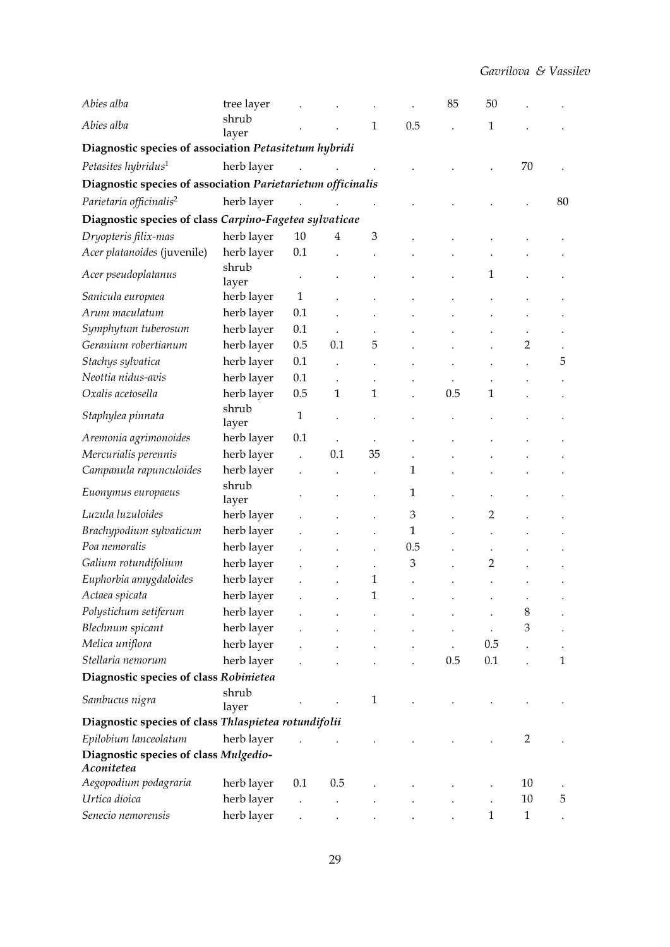| Abies alba                                                  | tree layer     |              |              |                |     | 85  | 50           |              |    |  |  |
|-------------------------------------------------------------|----------------|--------------|--------------|----------------|-----|-----|--------------|--------------|----|--|--|
| Abies alba                                                  | shrub<br>layer |              |              | 1              | 0.5 |     | $\mathbf{1}$ |              |    |  |  |
| Diagnostic species of association Petasitetum hybridi       |                |              |              |                |     |     |              |              |    |  |  |
| Petasites hybridus <sup>1</sup>                             | herb layer     |              |              |                |     |     |              | 70           |    |  |  |
| Diagnostic species of association Parietarietum officinalis |                |              |              |                |     |     |              |              |    |  |  |
| Parietaria officinalis <sup>2</sup>                         | herb layer     |              |              |                |     |     |              |              | 80 |  |  |
| Diagnostic species of class Carpino-Fagetea sylvaticae      |                |              |              |                |     |     |              |              |    |  |  |
| Dryopteris filix-mas                                        | herb layer     | 10           | 4            | $\mathfrak{Z}$ |     |     |              |              |    |  |  |
| Acer platanoides (juvenile)                                 | herb layer     | 0.1          |              |                |     |     |              |              |    |  |  |
| Acer pseudoplatanus                                         | shrub<br>layer |              |              |                |     |     | 1            |              |    |  |  |
| Sanicula europaea                                           | herb layer     | $\mathbf{1}$ |              |                |     |     |              |              |    |  |  |
| Arum maculatum                                              | herb layer     | 0.1          |              |                |     |     |              |              |    |  |  |
| Symphytum tuberosum                                         | herb layer     | 0.1          |              |                |     |     |              |              |    |  |  |
| Geranium robertianum                                        | herb layer     | 0.5          | 0.1          | 5              |     |     |              | 2            |    |  |  |
| Stachys sylvatica                                           | herb layer     | 0.1          |              |                |     |     |              |              | 5  |  |  |
| Neottia nidus-avis                                          | herb layer     | 0.1          |              |                |     |     |              |              |    |  |  |
| Oxalis acetosella                                           | herb layer     | 0.5          | $\mathbf{1}$ | 1              |     | 0.5 | $\mathbf{1}$ |              |    |  |  |
| Staphylea pinnata                                           | shrub<br>layer | $\mathbf{1}$ |              |                |     |     |              |              |    |  |  |
| Aremonia agrimonoides                                       | herb layer     | 0.1          |              |                |     |     |              |              |    |  |  |
| Mercurialis perennis                                        | herb layer     |              | 0.1          | 35             |     |     |              |              |    |  |  |
| Campanula rapunculoides                                     | herb layer     |              |              |                | 1   |     |              |              |    |  |  |
| Euonymus europaeus                                          | shrub<br>layer |              |              |                | 1   |     |              |              |    |  |  |
| Luzula luzuloides                                           | herb layer     |              |              |                | 3   |     | 2            |              |    |  |  |
| Brachypodium sylvaticum                                     | herb layer     |              |              |                | 1   |     |              |              |    |  |  |
| Poa nemoralis                                               | herb layer     |              |              |                | 0.5 |     |              |              |    |  |  |
| Galium rotundifolium                                        | herb layer     |              |              |                | 3   |     | 2            |              |    |  |  |
| Euphorbia amygdaloides                                      | herb layer     |              |              | 1              |     |     |              |              |    |  |  |
| Actaea spicata                                              | herb layer     |              |              | 1              |     |     |              |              |    |  |  |
| Polystichum setiferum                                       | herb layer     |              |              |                |     |     |              | 8            |    |  |  |
| Blechnum spicant                                            | herb layer     |              |              |                |     |     | $\bullet$    | 3            |    |  |  |
| Melica uniflora                                             | herb layer     |              |              |                |     |     | 0.5          |              |    |  |  |
| Stellaria nemorum                                           | herb layer     |              |              |                |     | 0.5 | 0.1          |              | 1  |  |  |
| Diagnostic species of class Robinietea                      |                |              |              |                |     |     |              |              |    |  |  |
| Sambucus nigra                                              | shrub<br>layer |              |              | 1              |     |     |              |              |    |  |  |
| Diagnostic species of class Thlaspietea rotundifolii        |                |              |              |                |     |     |              |              |    |  |  |
| Epilobium lanceolatum                                       | herb layer     |              |              |                |     |     |              | 2            |    |  |  |
| Diagnostic species of class Mulgedio-<br>Aconitetea         |                |              |              |                |     |     |              |              |    |  |  |
| Aegopodium podagraria                                       | herb layer     | 0.1          | 0.5          |                |     |     |              | 10           |    |  |  |
| Urtica dioica                                               | herb layer     |              |              |                |     |     |              | $10\,$       | 5  |  |  |
| Senecio nemorensis                                          | herb layer     |              |              |                |     |     | $\mathbf{1}$ | $\mathbf{1}$ |    |  |  |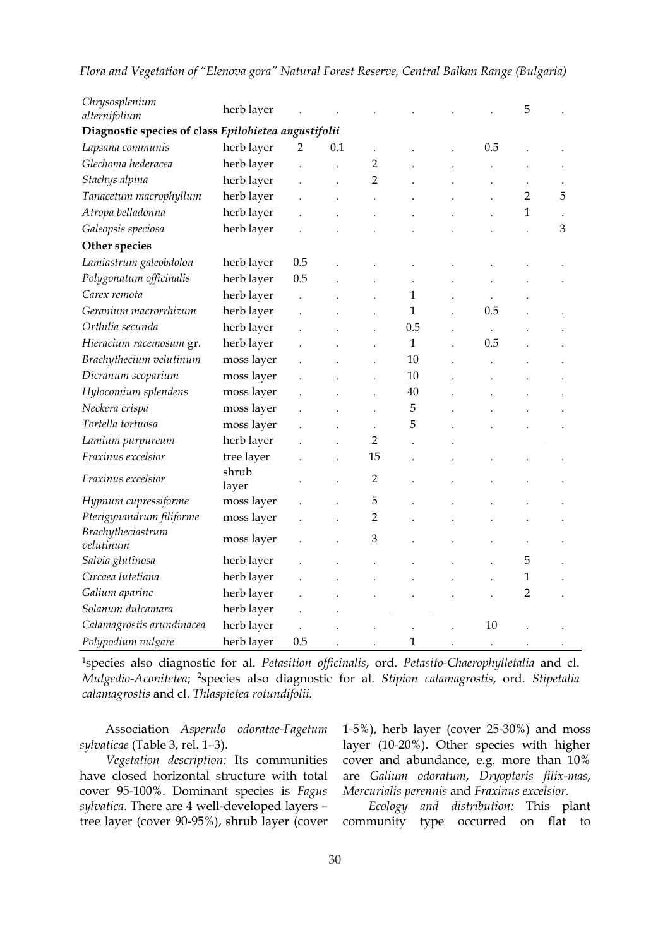| Chrysosplenium<br>alternifolium                      | herb layer               |     |     |                |              |  |     | 5                   |   |
|------------------------------------------------------|--------------------------|-----|-----|----------------|--------------|--|-----|---------------------|---|
| Diagnostic species of class Epilobietea angustifolii |                          |     |     |                |              |  |     |                     |   |
| Lapsana communis                                     | herb layer               | 2   | 0.1 |                |              |  | 0.5 |                     |   |
| Glechoma hederacea                                   | herb layer               |     |     | $\overline{2}$ |              |  |     |                     |   |
| Stachys alpina                                       | herb layer               |     |     | 2              |              |  |     |                     |   |
| Tanacetum macrophyllum                               | herb layer               |     |     |                |              |  |     | 2                   | 5 |
| Atropa belladonna                                    | herb layer               |     |     |                |              |  |     | 1                   |   |
| Galeopsis speciosa                                   | herb layer               |     |     |                |              |  |     |                     | 3 |
| Other species                                        |                          |     |     |                |              |  |     |                     |   |
| Lamiastrum galeobdolon                               | herb layer               | 0.5 |     |                |              |  |     |                     |   |
| Polygonatum officinalis                              | herb layer               | 0.5 |     |                |              |  |     |                     |   |
| Carex remota                                         | herb layer               |     |     |                | $\mathbf{1}$ |  |     |                     |   |
| Geranium macrorrhizum                                | herb layer               |     |     |                | $\mathbf{1}$ |  | 0.5 |                     |   |
| Orthilia secunda                                     | herb layer               |     |     |                | 0.5          |  |     |                     |   |
| Hieracium racemosum gr.                              | herb layer               |     |     |                | $\mathbf{1}$ |  | 0.5 |                     |   |
| Brachythecium velutinum                              | moss layer               |     |     |                | 10           |  |     |                     |   |
| Dicranum scoparium                                   | moss layer               |     |     |                | 10           |  |     |                     |   |
| Hylocomium splendens                                 | moss layer               |     |     |                | 40           |  |     |                     |   |
| Neckera crispa                                       | moss layer               |     |     |                | 5            |  |     |                     |   |
| Tortella tortuosa                                    | moss layer               |     |     |                | 5            |  |     |                     |   |
| Lamium purpureum                                     | herb layer               |     |     | 2              |              |  |     |                     |   |
| Fraxinus excelsior                                   | tree layer               |     |     | 15             |              |  |     |                     |   |
| Fraxinus excelsior                                   | shrub                    |     |     | $\overline{2}$ |              |  |     |                     |   |
|                                                      | layer                    |     |     |                |              |  |     |                     |   |
| Hypnum cupressiforme                                 | moss layer               |     |     | 5              |              |  |     |                     |   |
| Pterigynandrum filiforme                             | moss layer               |     |     | $\overline{2}$ |              |  |     |                     |   |
| Brachytheciastrum                                    | moss layer               |     |     | 3              |              |  |     |                     |   |
| velutinum                                            |                          |     |     |                |              |  |     |                     |   |
| Salvia glutinosa<br>Circaea lutetiana                | herb layer               |     |     |                |              |  |     | 5                   |   |
|                                                      | herb layer<br>herb layer |     |     |                |              |  |     | 1<br>$\overline{2}$ |   |
| Galium aparine                                       |                          |     |     |                |              |  |     |                     |   |

#### *Flora and Vegetation of "Elenova gora" Natural Forest Reserve, Central Balkan Range (Bulgaria)*

<sup>1</sup>species also diagnostic for al. *Petasition officinalis*, ord. *Petasito-Chaerophylletalia* and cl. *Mulgedio-Aconitetea*; <sup>2</sup>species also diagnostic for al. *Stipion calamagrostis*, ord. *Stipetalia calamagrostis* and cl. *Thlaspietea rotundifolii.*

*Calamagrostis arundinacea* herb layer . . . . . 10 . .

*Polypodium vulgare* herb layer 0.5 . . . 1

Association *Asperulo odoratae-Fagetum sylvaticae* (Table 3, rel. 1–3).

*Solanum dulcamara* **herb layer** . . . . .

*Vegetation description:* Its communities have closed horizontal structure with total cover 95-100%. Dominant species is *Fagus sylvatica*. There are 4 well-developed layers – tree layer (cover 90-95%), shrub layer (cover 1-5%), herb layer (cover 25-30%) and moss layer (10-20%). Other species with higher cover and abundance, e.g. more than 10% are *Galium odoratum*, *Dryopteris filix-mas*, *Mercurialis perennis* and *Fraxinus excelsior*.

*Ecology and distribution:* This plant community type occurred on flat to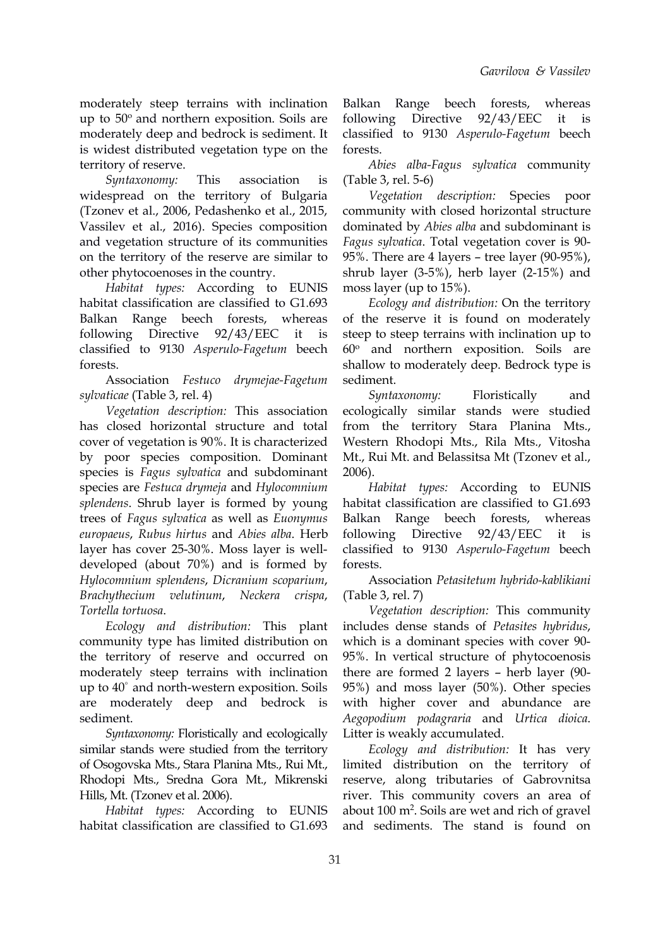moderately steep terrains with inclination up to 50° and northern exposition. Soils are following Direc moderately deep and bedrock is sediment. It is widest distributed vegetation type on the territory of reserve.

*Syntaxonomy:* This association is (Table 3, rel. 5-6) widespread on the territory of Bulgaria (Tzonev et al., 2006, Pedashenko et al., 2015, Vassilev et al., 2016). Species composition and vegetation structure of its communities Fagus sylvatica. Total vegetation cover is 90on the territory of the reserve are similar to other phytocoenoses in the country.

*Habitat types:* According to EUNIS habitat classification are classified to G1.693 [Balkan](https://eunis.eea.europa.eu/habitats/4126) Range beech forests, whereas classified to 9130 *Asperulo-Fagetum* beech forests.

Association *Festuco drymejae-Fagetum sylvaticae* (Table 3, rel. 4)

*Vegetation description:* This association has closed horizontal structure and total cover of vegetation is 90%. It is characterized by poor species composition. Dominant species is *Fagus sylvatica* and subdominant species are *Festuca drymeja* and *Hylocomnium splendens*. Shrub layer is formed by young trees of *Fagus sylvatica* as well as *Euonymus europaeus*, *Rubus hirtus* and *Abies alba*. Herb layer has cover 25-30%. Moss layer is well developed (about 70%) and is formed by *Hylocomnium splendens*, *Dicranium scoparium*, *Brachythecium velutinum*, *Neckera crispa*, *Tortella tortuosa*.

*Ecology and distribution:* This plant community type has limited distribution on the territory of reserve and occurred on moderately steep terrains with inclination up to 40 ° and north-western exposition. Soils are moderately deep and bedrock is sediment.

*Syntaxonomy:* Floristically and ecologically similar stands were studied from the territory of Osogovska Mts., Stara Planina Mts., Rui Mt., Rhodopi Mts., Sredna Gora Mt., Mikrenski Hills, Mt. (Tzonev et al. 2006).

*Habitat types:* According to EUNIS habitat classification are classified to G1.693

[Balkan](https://eunis.eea.europa.eu/habitats/4126) Range beech forests, whereas following Directive 92/43/EEC it is classified to 9130 *Asperulo-Fagetum* beech forests.

*Abies alba-Fagus sylvatica* community

*Vegetation description:* Species poor community with closed horizontal structure dominated by *Abies alba* and subdominant is *Fagushier 95%*. There are 4 layers – tree layer (90-95%), shrub layer (3-5%), herb layer (2-15%) and moss layer (up to15%).

following Directive 92/43/EEC it is steep to steep terrains with inclination up to *Ecology and distribution:* On the territory of the reserve it is found on moderately 60 <sup>o</sup> and northern exposition. Soils are shallow to moderately deep. Bedrock type is sediment.

> *Syntaxonomy:* Floristically and ecologically similar stands were studied from the territory Stara Planina Mts., Western Rhodopi Mts., Rila Mts., Vitosha Mt., Rui Mt. and Belassitsa Mt (Tzonev et al., 2006).

> *Habitat types:* According to EUNIS habitat classification are classified to G1.693 [Balkan](https://eunis.eea.europa.eu/habitats/4126) Range beech forests, whereas  $92/43/EEC$  it is classified to 9130 *Asperulo-Fagetum* beech forests.

> Association *Petasitetum hybrido-kablikiani* (Table 3, rel. 7)

*Vegetation description:* This community includes dense stands of *Petasites hybridus*, which is a dominant species with cover 90- 95%. In vertical structure of phytocoenosis there are formed 2 layers – herb layer (90- 95%) and moss layer (50%). Other species with higher cover and abundance are *Aegopodium podagraria* and *Urtica dioica*. Litter is weakly accumulated.

*Ecology and distribution:* It has very limited distribution on the territory of reserve, along tributaries of Gabrovnitsa river. This community covers an area of about 100 m<sup>2</sup>. Soils are wet and rich of gravel and sediments. The stand is found on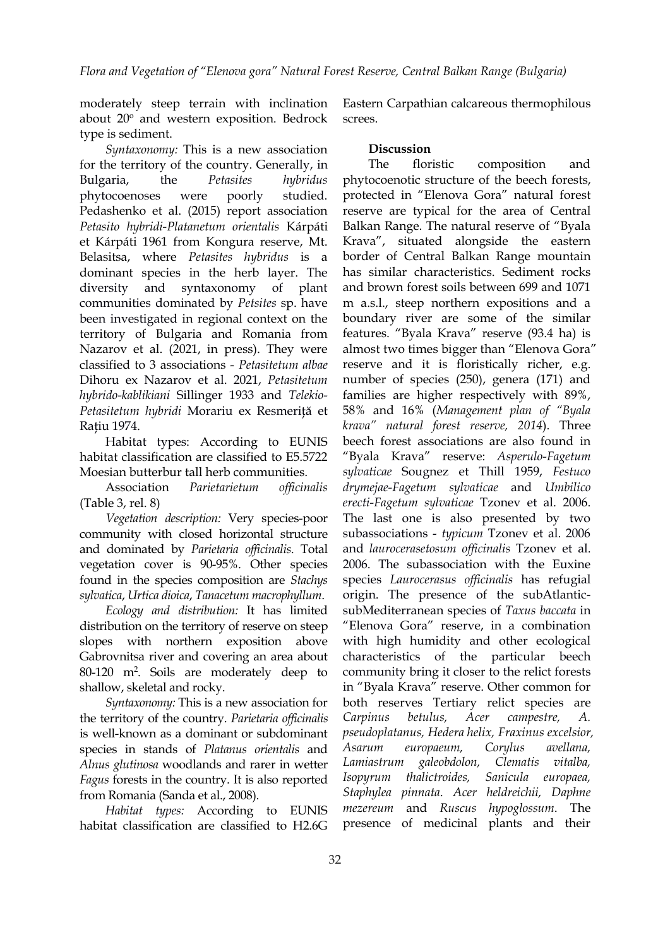moderately steep terrain with inclination about 20° and western exposition. Bedrock screes. type is sediment.

*Syntaxonomy:* This is a new association for the territory of the country. Generally, in phytocoenoses were poorly studied. Pedashenko et al. (2015) report association *Petasito hybridi-Platanetum orientalis* Kárpáti et Kárpáti 1961 from Kongura reserve, Mt. Belasitsa, where *Petasites hybridus* is a dominant species in the herb layer. The diversity and syntaxonomy of plant communities dominated by *Petsites* sp. have been investigated in regional context on the territory of Bulgaria and Romania from Nazarov et al. (2021, in press). They were classified to3associations - *Petasitetum albae* Dihoru ex Nazarov et al. 2021, *Petasitetum hybrido-kablikiani* Sillinger 1933 and *Telekio- Petasitetum hybridi* Morariu ex Resmeriţă et Ratiu 1974.

Habitat types: According to EUNIS habitat classification are classified to E5.5722 Moesian butterbur tall herb communities.

(Table 3, rel. 8)

*Vegetation description:* Very species-poor community with closed horizontal structure and dominated by *Parietaria of icinalis*. Total vegetation cover is 90-95%. Other species found in the species composition are *Stachys sylvatica*, *Urtica dioica*, *Tanacetum macrophyllum*.

*Ecology and distribution:* It has limited distribution on the territory of reserve on steep slopes with northern exposition above Gabrovnitsa river and covering an area about 80-120 m<sup>2</sup>. Soils are moderately deep to community bring it shallow, skeletal and rocky.

*Syntaxonomy:* This is a new association for the territory of the country. *Parietaria officinalis* Carpinus betulus, is well-known as a dominant or subdominant species in stands of *Platanus orientalis* and *Alnus glutinosa* woodlands and rarer in wetter *Fagus* forests in the country. It is also reported from Romania (Sanda et al., 2008).

*Habitat types:* According to EUNIS habitat classification are classified to H2.6G

Eastern Carpathian calcareous thermophilous screes.

## **Discussion**

Bulgaria, the *Petasites hybridus* phytocoenotic structure of the beech forests, Association *Parietarietum of icinalis drymejae-Fagetum sylvaticae* and *Umbilico* composition and protected in "Elenova Gora" natural forest reserve are typical for the area of Central Balkan Range. The natural reserve of "Byala Krava", situated alongside the eastern border of Central Balkan Range mountain has similar characteristics. Sediment rocks and brown forest soils between 699 and 1071 m a.s.l., steep northern expositions and a boundary river are some of the similar features. "Byala Krava" reserve (93.4 ha) is almost two times bigger than "Elenova Gora" reserve and it is floristically richer, e.g. number of species (250), genera (171) and families are higher respectively with 89%, 58% and 16% (*Management plan of "Byala krava" natural forest reserve, 2014*). Three beech forest associations are also found in "Byala Krava" reserve: *Asperulo-Fagetum sylvaticae* Sougnez et Thill 1959, *Festuco erecti-Fagetum sylvaticae* Tzonev et al. 2006. The last one is also presented by two subassociations - *typicum* Tzonev et al.2006 and *laurocerasetosum of icinalis* Tzonev et al. 2006. The subassociation with the Euxine species *Laurocerasus officinalis* has refugial origin. The presence of the subAtlantic subMediterranean species of *Taxus baccata* in "Elenova Gora" reserve, in a combination with high humidity and other ecological characteristics of the particular beech community bring it closer to the relict forests in "Byala Krava" reserve. Other common for both reserves Tertiary relict species are *Carpinus betulus, Acer campestre, A. pseudoplatanus, Hedera helix, Fraxinus excelsior, Asarum europaeum, Corylus avellana, Lamiastrum galeobdolon, Clematis vitalba, Isopyrum thalictroides, Sanicula europaea, Staphylea pinnata*. *Acer heldreichii, Daphne mezereum* and *Ruscus hypoglossum*. The presence of medicinal plants and their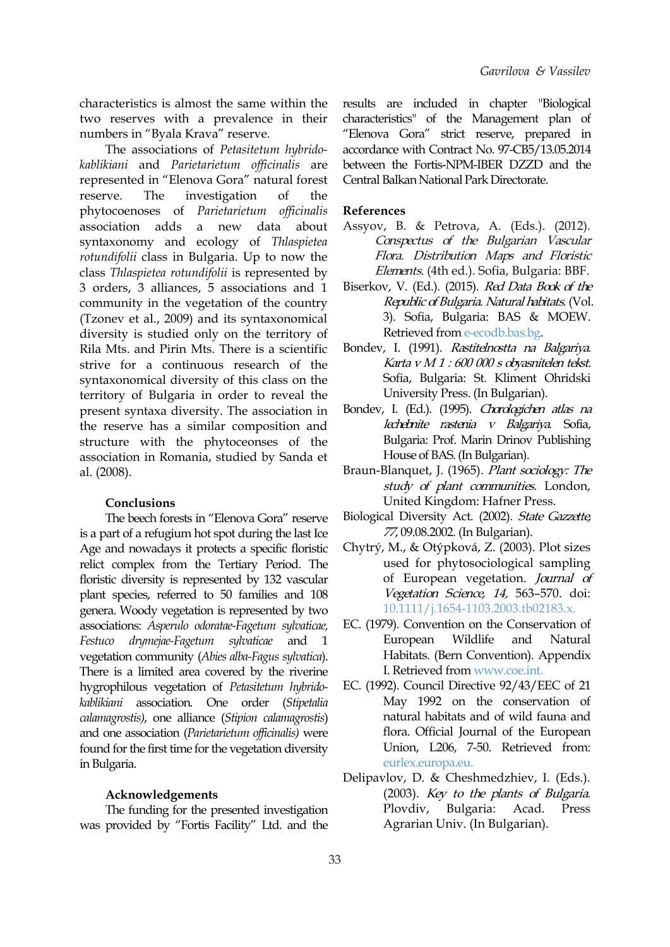characteristics is almost the same within the two reserves with a prevalence in their numbers in "Byala Krava" reserve*.*

The associations of *Petasitetum hybrido kablikiani* and *Parietarietum of icinalis* are represented in "Elenova Gora" natural forest reserve. The investigation of the phytocoenoses of *Parietarietum of icinalis* association adds a new data about syntaxonomy and ecology of *Thlaspietea rotundifolii* class in Bulgaria. Up to now the class *Thlaspietea rotundifolii* is represented by 3 orders, 3 alliances, 5 associations and 1 community in the vegetation of the country (Tzonev et al., 2009) and its syntaxonomical diversity is studied only on the territory of Rila Mts. and Pirin Mts. There is a scientific strive for a continuous research of the syntaxonomical diversity of this class on the territory of Bulgaria in order to reveal the present syntaxa diversity. The association in the reserve has a similar composition and structure with the phytoceonses of the association in Romania, studied by Sanda et al. (2008).

#### **Conclusions**

The beech forests in "Elenova Gora" reserve is a part of a refugium hot spot during the last Ice Age and nowadays it protects a specific floristic relict complex from the Tertiary Period. The floristic diversity is represented by 132 vascular plant species, referred to 50 families and 108 genera. Woody vegetation is represented by two associations: *Asperulo odoratae-Fagetum sylvaticae, Festuco drymejae-Fagetum sylvaticae* and 1 vegetation community (*Abies alba-Fagus sylvatica*). There is a limited area covered by the riverine hygrophilous vegetation of *Petasitetum hybrido kablikiani* association*.* One order (*Stipetalia calamagrostis)*, one alliance (*Stipion calamagrostis*) and one association (*Parietarietum of icinalis)* were found for the first time for the vegetation diversity in Bulgaria.

#### **Acknowledgements**

The funding for the presented investigation Plovdiv, was provided by "Fortis Facility" Ltd. and the

results are included in chapter "Biological characteristics" of the Management plan of "Elenova Gora" strict reserve, prepared in accordance with Contract No. 97-CB5/13.05.2014 between the Fortis-NPM-IBER DZZD and the Central Balkan National ParkDirectorate.

#### **References**

- Assyov, B. & Petrova, A. (Eds.). (2012). Conspectus of the Bulgarian Vascular Flora. Distribution Maps and Floristic Elements. (4th ed.). Sofia, Bulgaria: BBF.
- Biserkov, V. (Ed.). (2015). *Red Data Book of the* Republic of Bulgaria. Natural habitats. (Vol. 3). Sofia, Bulgaria: BAS & MOEW. Retrieved from [e-ecodb.bas.bg](http://e-ecodb.bas.bg/rdb/en/).
- Bondev, I. (1991). Rastitelnostta na Balgariya. Karta <sup>v</sup> <sup>M</sup> <sup>1</sup> : 600 000 <sup>s</sup> obyasnitelen tekst. Sofia, Bulgaria: St. Kliment Ohridski University Press. (In Bulgarian).
- Bondev, I. (Ed.). (1995). Chorologichen atlas na lechebnite rastenia <sup>v</sup> Balgariya. Sofia, Bulgaria: Prof. Marin Drinov Publishing House of BAS.(In Bulgarian).
- Braun-Blanquet, J. (1965). Plant sociology: The study of plant communities. London, United Kingdom: Hafner Press.
- Biological Diversity Act. (2002). State Gazzette, 77, 09.08.2002. (In Bulgarian).
- Chytrý, M., & Otýpková, Z. (2003). Plot sizes used for phytosociological sampling of European vegetation. Journal of Vegetation Science, 14, 563–570. doi: [10.1111/j.1654-1103.2003.tb02183.x](https://doi.org/10.1111/j.1654-1103.2003.tb02183.x).
- EC. (1979). Convention on the Conservation of European Wildlife and Natural Habitats. (Bern Convention). Appendix I. Retrieved from [www.coe.int](http://www.coe.int/en/web/conventions/full-list/-/ conventions/treaty/104).
- EC. (1992). Council Directive 92/43/EEC of 21 May 1992 on the conservation of natural habitats and of wild fauna and flora. Official Journal of the European Union, L206, 7-50. Retrieved from: [eurlex.europa.eu](http://eurlex.europa.eu/).
- Delipavlov, D. & Cheshmedzhiev, I. (Eds.). (2003). Key to the plants of Bulgaria. Bulgaria: Acad. Press Agrarian Univ. (In Bulgarian).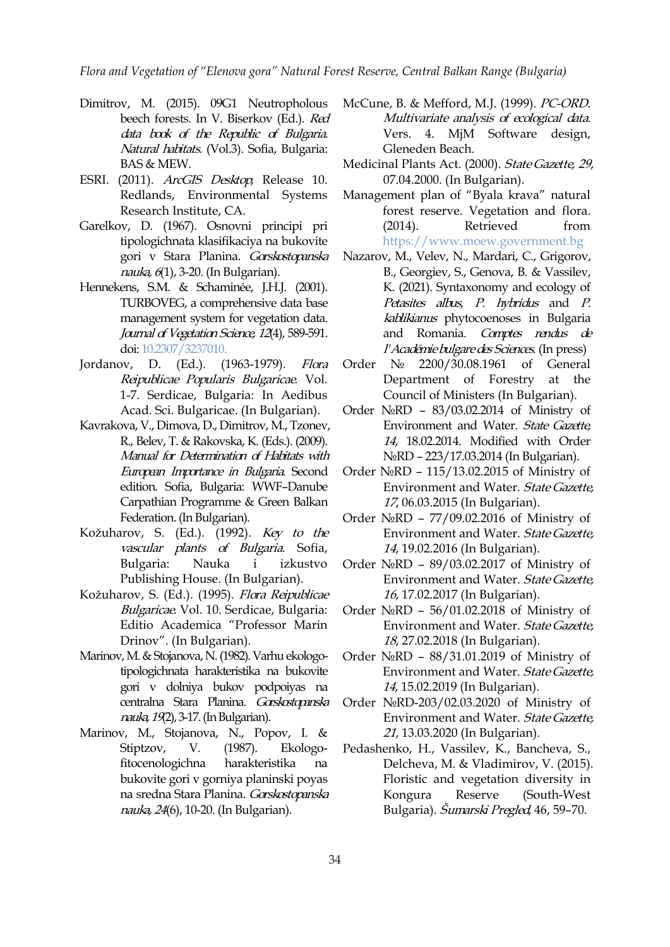*Flora and Vegetation of "Elenova gora" Natural Forest Reserve, Central Balkan Range (Bulgaria)*

- Dimitrov, M. (2015). 09G1 Neutropholous beech forests. In V. Biserkov (Ed.). Red data book of the Republic of Bulgaria. Natural habitats. (Vol.3). Sofia, Bulgaria: BAS & MEW.
- ESRI. (2011). ArcGIS Desktop, Release 10. Redlands, Environmental Systems Research Institute, CA.
- Garelkov, D. (1967). Osnovni principi pri (2014). tipologichnata klasifikaciya na bukovite gori v Stara Planina. Gorskostopanska nauka, 6(1), 3-20. (In Bulgarian).
- Hennekens, S.M. & Schaminée, J.H.J. (2001). TURBOVEG, a comprehensive data base management system for vegetation data. Journal of Vegetation Science, 12(4), 589-591. doi: [10.2307/3237010](http://www.doi.org/10.2307/3237010).
- Jordanov, D. (Ed.). (1963-1979). *Flora* Order No Reipublicae Popularis Bulgaricae. Vol. 1-7. Serdicae, Bulgaria: In Aedibus Acad. Sci. Bulgaricae. (In Bulgarian).
- Kavrakova, V., Dimova, D., Dimitrov, M., Tzonev, R., Belev, T. & Rakovska, K. (Eds.). (2009). Manual for Determination of Habitats with European Importance in Bulgaria. Second edition. Sofia, Bulgaria: WWF–Danube Carpathian Programme & Green Balkan Federation.(In Bulgarian).
- Kožuharov, S. (Ed.). (1992). Key to the vascular plants of Bulgaria. Sofia, Publishing House. (In Bulgarian).
- Kožuharov, S. (Ed.). (1995). Flora Reipublicae Bulgaricae. Vol. 10. Serdicae, Bulgaria: Editio Academica "Professor Marin Drinov". (In Bulgarian).
- Marinov, M. & Stojanova, N. (1982). Varhu ekologotipologichnata harakteristika na bukovite gori v dolniya bukov podpoiyas na centralna Stara Planina. Gorskostopanska nauka, 19(2), 3-17. (In Bulgarian).
- Marinov, M., Stojanova, N., Popov, I. & Stiptzov, V. (1987). Ekologobukovite gori v gorniya planinski poyas na sredna Stara Planina. Gorskostopanska kongura nauka, 24(6), 10-20. (In Bulgarian).
- McCune, B. & Mefford, M.J. (1999). PC-ORD. Multivariate analysis of ecological data. Vers. 4. MjM Software design, Gleneden Beach.
- Medicinal Plants Act. (2000). State Gazette, 29, 07.04.2000. (In Bulgarian).
- Management plan of "Byala krava" natural forest reserve. Vegetation and flora. Retrieved from [https://www.moew.government.bg](https://www.moew.government.bg/bg/priroda/zastiteni-teritorii/planove-za-upravlenie-na-zastiteni-teritorii-vlezli-v-sila/rezervati-i-poddurjani-rezervati/ (In Bulgarian))
- Nazarov, M., Velev, N., Mardari, C., Grigorov, B., Georgiev, S., Genova, B. & Vassilev, K. (2021). Syntaxonomy and ecology of Petasites albus, P. hybridus and P. kablikianus phytocoenoses in Bulgaria and Romania. Comptes rendus de l'Académiebulgaredes Sciences. (In press)
- 2200/30.08.1961 of General Department of Forestry at the Council of Ministers (In Bulgarian).
- Order №RD 83/03.02.2014 of Ministry of Environment and Water. State Gazette, 14, 18.02.2014. Modified with Order №RD – 223/17.03.2014 (In Bulgarian).
- Order №RD 115/13.02.2015 of Ministry of Environment and Water. State Gazette, 17, 06.03.2015 (In Bulgarian).
- Order №RD 77/09.02.2016 of Ministry of Environment and Water. State Gazette, 14, 19.02.2016 (In Bulgarian).
- Bulgaria: Nauka i izkustvo Order №RD 89/03.02.2017 of Ministry of Environment and Water. State Gazette, 16, 17.02.2017 (In Bulgarian).
	- Order №RD 56/01.02.2018 of Ministry of Environment and Water. State Gazette, 18, 27.02.2018 (In Bulgarian).
	- Order №RD 88/31.01.2019 of Ministry of Environment and Water. State Gazette, 14, 15.02.2019 (In Bulgarian).
	- Order №RD-203/02.03.2020 of Ministry of Environment and Water. State Gazette, 21, 13.03.2020 (In Bulgarian).
- fitocenologichna harakteristika na Delcheva, M. & Vladimirov, V. (2015). Pedashenko, H., Vassilev, K., Bancheva, S., Floristic and vegetation diversity in Reserve (South-West) Bulgaria). *Šumarski Pregled*, 46, 59–70.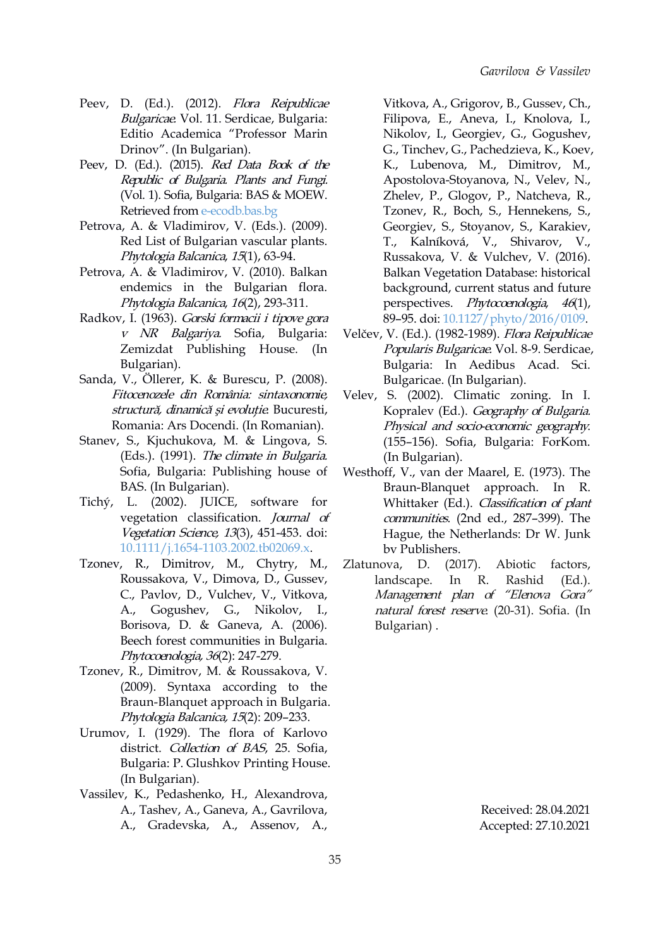- Peev, D. (Ed.). (2012). Flora Reipublicae Bulgaricae. Vol. 11. Serdicae, Bulgaria: Editio Academica "Professor Marin Drinov". (In Bulgarian).
- Peev, D. (Ed.). (2015). Red Data Book of the Republic of Bulgaria. Plants and Fungi. (Vol. 1). Sofia, Bulgaria: BAS & MOEW. Retrieved from [e-ecodb.bas.bg](http://e-ecodb.bas.bg/rdb/en)
- Petrova, A. & Vladimirov, V. (Eds.). (2009). Red List of Bulgarian vascular plants. Phytologia Balcanica, <sup>15</sup>(1), 63-94.
- Petrova, A. & Vladimirov, V. (2010). Balkan endemics in the Bulgarian flora. Phytologia Balcanica, <sup>16</sup>(2), 293-311.
- Radkov, I. (1963). Gorski formacii <sup>i</sup> tipove gora <sup>v</sup> NR Balgariya. Sofia, Bulgaria: Zemizdat Publishing House. (In Bulgarian).
- Sanda, V., Öllerer, K. & Burescu, P. (2008). Fitocenozele din România: sintaxonomie, structură, dinamică și evoluție. Bucuresti, Romania: Ars Docendi. (In Romanian).
- Stanev, S., Kjuchukova, M. & Lingova, S. (Eds.). (1991). The climate in Bulgaria. Sofia, Bulgaria: Publishing house of BAS. (In Bulgarian).
- Tichý, L. (2002). JUICE, software for vegetation classification. Journal of Vegetation Science, 13(3), 451-453. [doi:](https://doi.org/10.1111/j.1654-1103.2002.tb02069.x) [10.1111/j.1654-1103.2002.tb02069.x](https://doi.org/10.1111/j.1654-1103.2002.tb02069.x).
- Tzonev, R., Dimitrov, M., Chytry, M., Roussakova, V., Dimova, D., Gussev, C., Pavlov, D., Vulchev, V., Vitkova, A., Gogushev, G., Nikolov, I., Borisova, D. & Ganeva, A. (2006). Beech forest communities in Bulgaria. Phytocoenologia, <sup>36</sup>(2): 247-279.
- Tzonev, R., Dimitrov, M. & Roussakova, V. (2009). Syntaxa according to the Braun-Blanquet approach in Bulgaria. Phytologia Balcanica, <sup>15</sup>(2): 209–233.
- Urumov, I. (1929). The flora of Karlovo district. Collection of BAS, 25. Sofia, Bulgaria: P. Glushkov Printing House. (In Bulgarian).
- Vassilev, K., Pedashenko, H., Alexandrova, A., Tashev, A., Ganeva, A., Gavrilova, A., Gradevska, A., Assenov, A.,

Vitkova, A., Grigorov, B., Gussev, Ch., Filipova, E., Aneva, I., Knolova, I., Nikolov, I., Georgiev, G., Gogushev, G., Tinchev, G., Pachedzieva, K., Koev, K., Lubenova, M., Dimitrov, M., Apostolova-Stoyanova, N., Velev, N., Zhelev, P., Glogov, P., Natcheva, R., Tzonev, R., Boch, S., Hennekens, S., Georgiev, S., Stoyanov, S., Karakiev, T., Kalníková, V., Shivarov, V., Russakova, V. & Vulchev, V. (2016). Balkan Vegetation Database: historical background, current status and future perspectives. Phytocoenologia, <sup>46</sup>(1), 89–95. doi: [10.1127/phyto/2016/0109](https://doi.org/10.1127/phyto/2016/0109).

- Velčev, V. (Ed.). (1982-1989). Flora Reipublicae Popularis Bulgaricae. Vol. 8-9. Serdicae, Bulgaria: In Aedibus Acad. Sci. Bulgaricae. (In Bulgarian).
- Velev, S. (2002). Climatic zoning. In I. Kopralev (Ed.). Geography of Bulgaria. Physical and socio-economic geography. (155–156). Sofia, Bulgaria: ForKom. (In Bulgarian).
- Westhoff, V., van der Maarel, E. (1973). The Braun-Blanquet approach. In R. Whittaker (Ed.). Classification of plant communities. (2nd ed., 287–399). The Hague, the Netherlands: Dr W. Junk bv Publishers.
- $(2017)$ . Abiotic factors, landscape. In R. Rashid (Ed.). Management plan of "Elenova Gora" natural forest reserve. (20-31). Sofia. (In Bulgarian) .

Received: 28.04.2021 Accepted: 27.10.2021